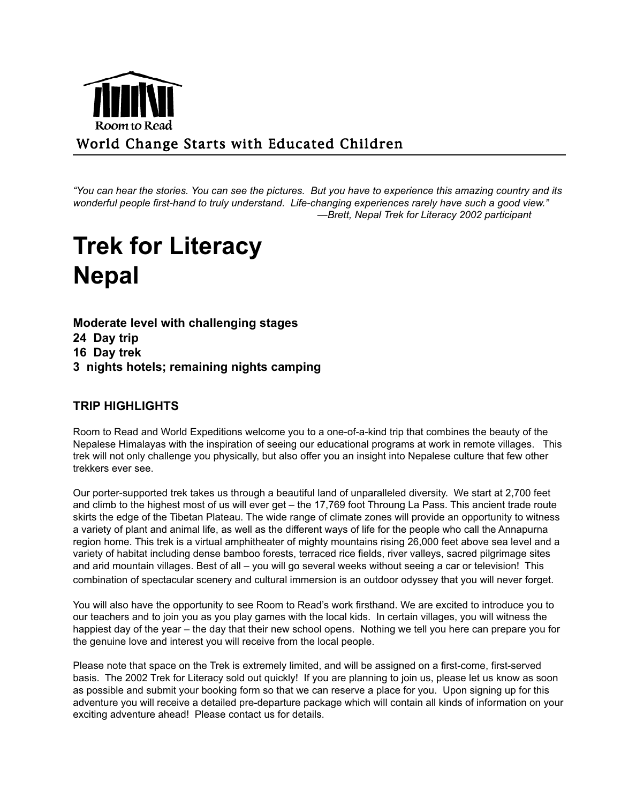

*"You can hear the stories. You can see the pictures. But you have to experience this amazing country and its wonderful people first-hand to truly understand. Life-changing experiences rarely have such a good view." —Brett, Nepal Trek for Literacy 2002 participant*

# **Trek for Literacy Nepal**

**Moderate level with challenging stages 24 Day trip 16 Day trek 3 nights hotels; remaining nights camping**

# **TRIP HIGHLIGHTS**

Room to Read and World Expeditions welcome you to a one-of-a-kind trip that combines the beauty of the Nepalese Himalayas with the inspiration of seeing our educational programs at work in remote villages. This trek will not only challenge you physically, but also offer you an insight into Nepalese culture that few other trekkers ever see.

Our porter-supported trek takes us through a beautiful land of unparalleled diversity. We start at 2,700 feet and climb to the highest most of us will ever get – the 17,769 foot Throung La Pass. This ancient trade route skirts the edge of the Tibetan Plateau. The wide range of climate zones will provide an opportunity to witness a variety of plant and animal life, as well as the different ways of life for the people who call the Annapurna region home. This trek is a virtual amphitheater of mighty mountains rising 26,000 feet above sea level and a variety of habitat including dense bamboo forests, terraced rice fields, river valleys, sacred pilgrimage sites and arid mountain villages. Best of all – you will go several weeks without seeing a car or television! This combination of spectacular scenery and cultural immersion is an outdoor odyssey that you will never forget.

You will also have the opportunity to see Room to Read's work firsthand. We are excited to introduce you to our teachers and to join you as you play games with the local kids. In certain villages, you will witness the happiest day of the year – the day that their new school opens. Nothing we tell you here can prepare you for the genuine love and interest you will receive from the local people.

Please note that space on the Trek is extremely limited, and will be assigned on a first-come, first-served basis. The 2002 Trek for Literacy sold out quickly! If you are planning to join us, please let us know as soon as possible and submit your booking form so that we can reserve a place for you. Upon signing up for this adventure you will receive a detailed pre-departure package which will contain all kinds of information on your exciting adventure ahead! Please contact us for details.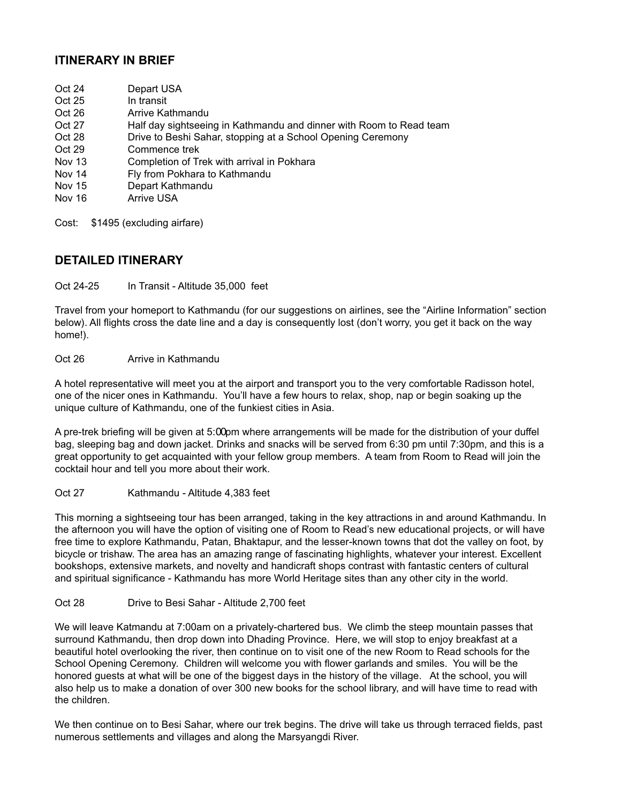# **ITINERARY IN BRIEF**

- Oct 24 Depart USA<br>Oct 25 In transit
- In transit
- Oct 26 Arrive Kathmandu
- Oct 27 Half day sightseeing in Kathmandu and dinner with Room to Read team
- Oct 28 Drive to Beshi Sahar, stopping at a School Opening Ceremony
- Oct 29 Commence trek<br>Nov 13 Completion of Tr
- Completion of Trek with arrival in Pokhara
- Nov 14 Fly from Pokhara to Kathmandu
- Nov 15 Depart Kathmandu
- Nov 16 Arrive USA

Cost: \$1495 (excluding airfare)

#### **DETAILED ITINERARY**

Oct 24-25 In Transit - Altitude 35,000 feet

Travel from your homeport to Kathmandu (for our suggestions on airlines, see the "Airline Information" section below). All flights cross the date line and a day is consequently lost (don't worry, you get it back on the way home!).

Oct 26 Arrive in Kathmandu

A hotel representative will meet you at the airport and transport you to the very comfortable Radisson hotel, one of the nicer ones in Kathmandu. You'll have a few hours to relax, shop, nap or begin soaking up the unique culture of Kathmandu, one of the funkiest cities in Asia.

A pre-trek briefing will be given at 5:00pm where arrangements will be made for the distribution of your duffel bag, sleeping bag and down jacket. Drinks and snacks will be served from 6:30 pm until 7:30pm, and this is a great opportunity to get acquainted with your fellow group members. A team from Room to Read will join the cocktail hour and tell you more about their work.

Oct 27 Kathmandu - Altitude 4,383 feet

This morning a sightseeing tour has been arranged, taking in the key attractions in and around Kathmandu. In the afternoon you will have the option of visiting one of Room to Read's new educational projects, or will have free time to explore Kathmandu, Patan, Bhaktapur, and the lesser-known towns that dot the valley on foot, by bicycle or trishaw. The area has an amazing range of fascinating highlights, whatever your interest. Excellent bookshops, extensive markets, and novelty and handicraft shops contrast with fantastic centers of cultural and spiritual significance - Kathmandu has more World Heritage sites than any other city in the world.

#### Oct 28 Drive to Besi Sahar - Altitude 2,700 feet

We will leave Katmandu at 7:00am on a privately-chartered bus. We climb the steep mountain passes that surround Kathmandu, then drop down into Dhading Province. Here, we will stop to enjoy breakfast at a beautiful hotel overlooking the river, then continue on to visit one of the new Room to Read schools for the School Opening Ceremony. Children will welcome you with flower garlands and smiles. You will be the honored guests at what will be one of the biggest days in the history of the village. At the school, you will also help us to make a donation of over 300 new books for the school library, and will have time to read with the children.

We then continue on to Besi Sahar, where our trek begins. The drive will take us through terraced fields, past numerous settlements and villages and along the Marsyangdi River.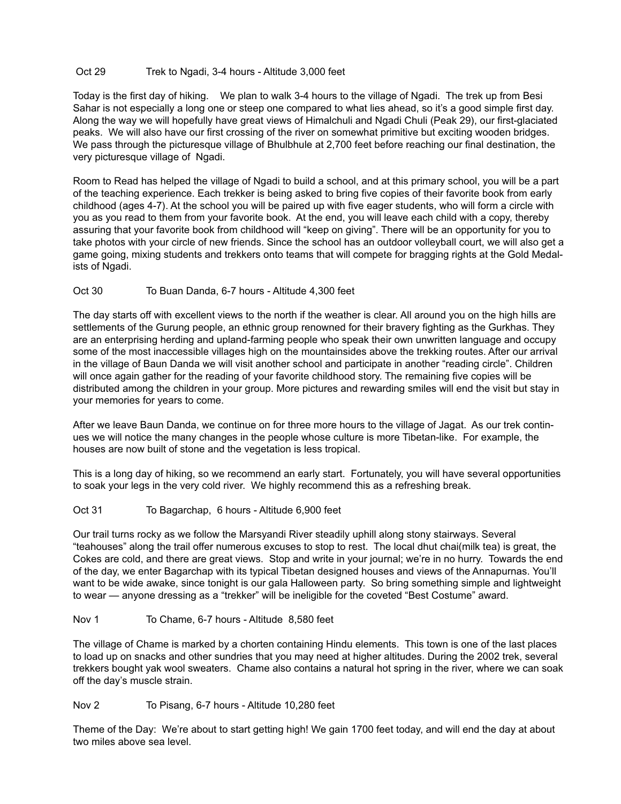#### Oct 29 Trek to Ngadi, 3-4 hours - Altitude 3,000 feet

Today is the first day of hiking. We plan to walk 3-4 hours to the village of Ngadi. The trek up from Besi Sahar is not especially a long one or steep one compared to what lies ahead, so it's a good simple first day. Along the way we will hopefully have great views of Himalchuli and Ngadi Chuli (Peak 29), our first-glaciated peaks. We will also have our first crossing of the river on somewhat primitive but exciting wooden bridges. We pass through the picturesque village of Bhulbhule at 2,700 feet before reaching our final destination, the very picturesque village of Ngadi.

Room to Read has helped the village of Ngadi to build a school, and at this primary school, you will be a part of the teaching experience. Each trekker is being asked to bring five copies of their favorite book from early childhood (ages 4-7). At the school you will be paired up with five eager students, who will form a circle with you as you read to them from your favorite book. At the end, you will leave each child with a copy, thereby assuring that your favorite book from childhood will "keep on giving". There will be an opportunity for you to take photos with your circle of new friends. Since the school has an outdoor volleyball court, we will also get a game going, mixing students and trekkers onto teams that will compete for bragging rights at the Gold Medalists of Ngadi.

#### Oct 30 To Buan Danda, 6-7 hours - Altitude 4,300 feet

The day starts off with excellent views to the north if the weather is clear. All around you on the high hills are settlements of the Gurung people, an ethnic group renowned for their bravery fighting as the Gurkhas. They are an enterprising herding and upland-farming people who speak their own unwritten language and occupy some of the most inaccessible villages high on the mountainsides above the trekking routes. After our arrival in the village of Baun Danda we will visit another school and participate in another "reading circle". Children will once again gather for the reading of your favorite childhood story. The remaining five copies will be distributed among the children in your group. More pictures and rewarding smiles will end the visit but stay in your memories for years to come.

After we leave Baun Danda, we continue on for three more hours to the village of Jagat. As our trek continues we will notice the many changes in the people whose culture is more Tibetan-like. For example, the houses are now built of stone and the vegetation is less tropical.

This is a long day of hiking, so we recommend an early start. Fortunately, you will have several opportunities to soak your legs in the very cold river. We highly recommend this as a refreshing break.

#### Oct 31 To Bagarchap, 6 hours - Altitude 6,900 feet

Our trail turns rocky as we follow the Marsyandi River steadily uphill along stony stairways. Several "teahouses" along the trail offer numerous excuses to stop to rest. The local dhut chai(milk tea) is great, the Cokes are cold, and there are great views. Stop and write in your journal; we're in no hurry. Towards the end of the day, we enter Bagarchap with its typical Tibetan designed houses and views of the Annapurnas. You'll want to be wide awake, since tonight is our gala Halloween party. So bring something simple and lightweight to wear — anyone dressing as a "trekker" will be ineligible for the coveted "Best Costume" award.

#### Nov 1 To Chame, 6-7 hours - Altitude 8,580 feet

The village of Chame is marked by a chorten containing Hindu elements. This town is one of the last places to load up on snacks and other sundries that you may need at higher altitudes. During the 2002 trek, several trekkers bought yak wool sweaters. Chame also contains a natural hot spring in the river, where we can soak off the day's muscle strain.

#### Nov 2 To Pisang, 6-7 hours - Altitude 10,280 feet

Theme of the Day: We're about to start getting high! We gain 1700 feet today, and will end the day at about two miles above sea level.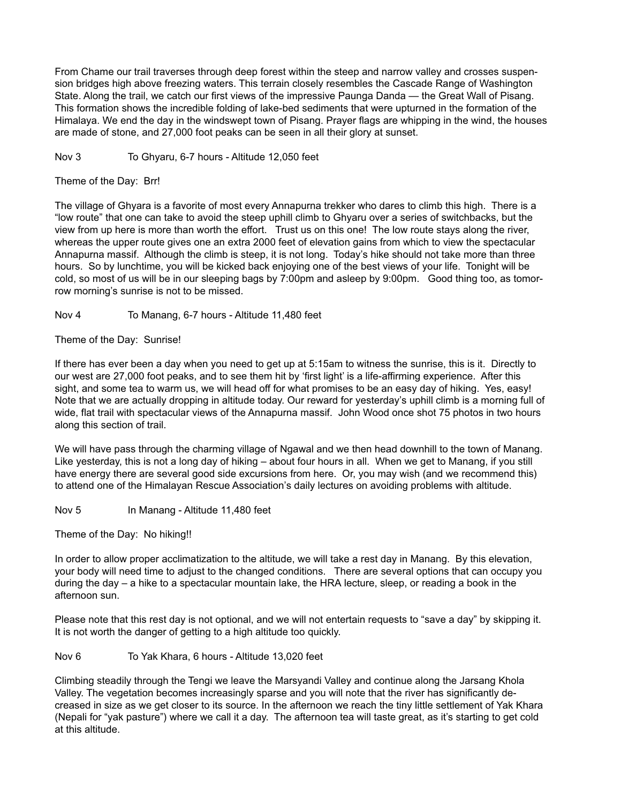From Chame our trail traverses through deep forest within the steep and narrow valley and crosses suspension bridges high above freezing waters. This terrain closely resembles the Cascade Range of Washington State. Along the trail, we catch our first views of the impressive Paunga Danda — the Great Wall of Pisang. This formation shows the incredible folding of lake-bed sediments that were upturned in the formation of the Himalaya. We end the day in the windswept town of Pisang. Prayer flags are whipping in the wind, the houses are made of stone, and 27,000 foot peaks can be seen in all their glory at sunset.

Nov 3 To Ghyaru, 6-7 hours - Altitude 12,050 feet

Theme of the Day: Brr!

The village of Ghyara is a favorite of most every Annapurna trekker who dares to climb this high. There is a "low route" that one can take to avoid the steep uphill climb to Ghyaru over a series of switchbacks, but the view from up here is more than worth the effort. Trust us on this one! The low route stays along the river, whereas the upper route gives one an extra 2000 feet of elevation gains from which to view the spectacular Annapurna massif. Although the climb is steep, it is not long. Today's hike should not take more than three hours. So by lunchtime, you will be kicked back enjoying one of the best views of your life. Tonight will be cold, so most of us will be in our sleeping bags by 7:00pm and asleep by 9:00pm. Good thing too, as tomorrow morning's sunrise is not to be missed.

Nov 4 To Manang, 6-7 hours - Altitude 11,480 feet

Theme of the Day: Sunrise!

If there has ever been a day when you need to get up at 5:15am to witness the sunrise, this is it. Directly to our west are 27,000 foot peaks, and to see them hit by 'first light' is a life-affirming experience. After this sight, and some tea to warm us, we will head off for what promises to be an easy day of hiking. Yes, easy! Note that we are actually dropping in altitude today. Our reward for yesterday's uphill climb is a morning full of wide, flat trail with spectacular views of the Annapurna massif. John Wood once shot 75 photos in two hours along this section of trail.

We will have pass through the charming village of Ngawal and we then head downhill to the town of Manang. Like yesterday, this is not a long day of hiking – about four hours in all. When we get to Manang, if you still have energy there are several good side excursions from here. Or, you may wish (and we recommend this) to attend one of the Himalayan Rescue Association's daily lectures on avoiding problems with altitude.

Nov 5 In Manang - Altitude 11,480 feet

Theme of the Day: No hiking!!

In order to allow proper acclimatization to the altitude, we will take a rest day in Manang. By this elevation, your body will need time to adjust to the changed conditions. There are several options that can occupy you during the day – a hike to a spectacular mountain lake, the HRA lecture, sleep, or reading a book in the afternoon sun.

Please note that this rest day is not optional, and we will not entertain requests to "save a day" by skipping it. It is not worth the danger of getting to a high altitude too quickly.

Nov 6 To Yak Khara, 6 hours - Altitude 13,020 feet

Climbing steadily through the Tengi we leave the Marsyandi Valley and continue along the Jarsang Khola Valley. The vegetation becomes increasingly sparse and you will note that the river has significantly decreased in size as we get closer to its source. In the afternoon we reach the tiny little settlement of Yak Khara (Nepali for "yak pasture") where we call it a day. The afternoon tea will taste great, as it's starting to get cold at this altitude.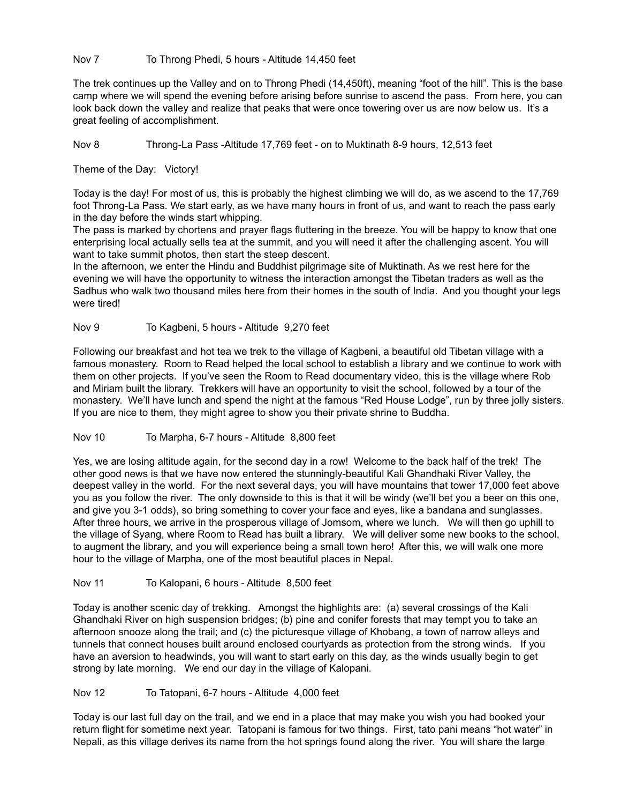#### Nov 7 To Throng Phedi, 5 hours - Altitude 14,450 feet

The trek continues up the Valley and on to Throng Phedi (14,450ft), meaning "foot of the hill". This is the base camp where we will spend the evening before arising before sunrise to ascend the pass. From here, you can look back down the valley and realize that peaks that were once towering over us are now below us. It's a great feeling of accomplishment.

Nov 8 Throng-La Pass -Altitude 17,769 feet - on to Muktinath 8-9 hours, 12,513 feet

Theme of the Day: Victory!

Today is the day! For most of us, this is probably the highest climbing we will do, as we ascend to the 17,769 foot Throng-La Pass. We start early, as we have many hours in front of us, and want to reach the pass early in the day before the winds start whipping.

The pass is marked by chortens and prayer flags fluttering in the breeze. You will be happy to know that one enterprising local actually sells tea at the summit, and you will need it after the challenging ascent. You will want to take summit photos, then start the steep descent.

In the afternoon, we enter the Hindu and Buddhist pilgrimage site of Muktinath. As we rest here for the evening we will have the opportunity to witness the interaction amongst the Tibetan traders as well as the Sadhus who walk two thousand miles here from their homes in the south of India. And you thought your legs were tired!

#### Nov 9 To Kagbeni, 5 hours - Altitude 9,270 feet

Following our breakfast and hot tea we trek to the village of Kagbeni, a beautiful old Tibetan village with a famous monastery. Room to Read helped the local school to establish a library and we continue to work with them on other projects. If you've seen the Room to Read documentary video, this is the village where Rob and Miriam built the library. Trekkers will have an opportunity to visit the school, followed by a tour of the monastery. We'll have lunch and spend the night at the famous "Red House Lodge", run by three jolly sisters. If you are nice to them, they might agree to show you their private shrine to Buddha.

#### Nov 10 To Marpha, 6-7 hours - Altitude 8,800 feet

Yes, we are losing altitude again, for the second day in a row! Welcome to the back half of the trek! The other good news is that we have now entered the stunningly-beautiful Kali Ghandhaki River Valley, the deepest valley in the world. For the next several days, you will have mountains that tower 17,000 feet above you as you follow the river. The only downside to this is that it will be windy (we'll bet you a beer on this one, and give you 3-1 odds), so bring something to cover your face and eyes, like a bandana and sunglasses. After three hours, we arrive in the prosperous village of Jomsom, where we lunch. We will then go uphill to the village of Syang, where Room to Read has built a library. We will deliver some new books to the school, to augment the library, and you will experience being a small town hero! After this, we will walk one more hour to the village of Marpha, one of the most beautiful places in Nepal.

#### Nov 11 To Kalopani, 6 hours - Altitude 8,500 feet

Today is another scenic day of trekking. Amongst the highlights are: (a) several crossings of the Kali Ghandhaki River on high suspension bridges; (b) pine and conifer forests that may tempt you to take an afternoon snooze along the trail; and (c) the picturesque village of Khobang, a town of narrow alleys and tunnels that connect houses built around enclosed courtyards as protection from the strong winds. If you have an aversion to headwinds, you will want to start early on this day, as the winds usually begin to get strong by late morning. We end our day in the village of Kalopani.

#### Nov 12 To Tatopani, 6-7 hours - Altitude 4,000 feet

Today is our last full day on the trail, and we end in a place that may make you wish you had booked your return flight for sometime next year. Tatopani is famous for two things. First, tato pani means "hot water" in Nepali, as this village derives its name from the hot springs found along the river. You will share the large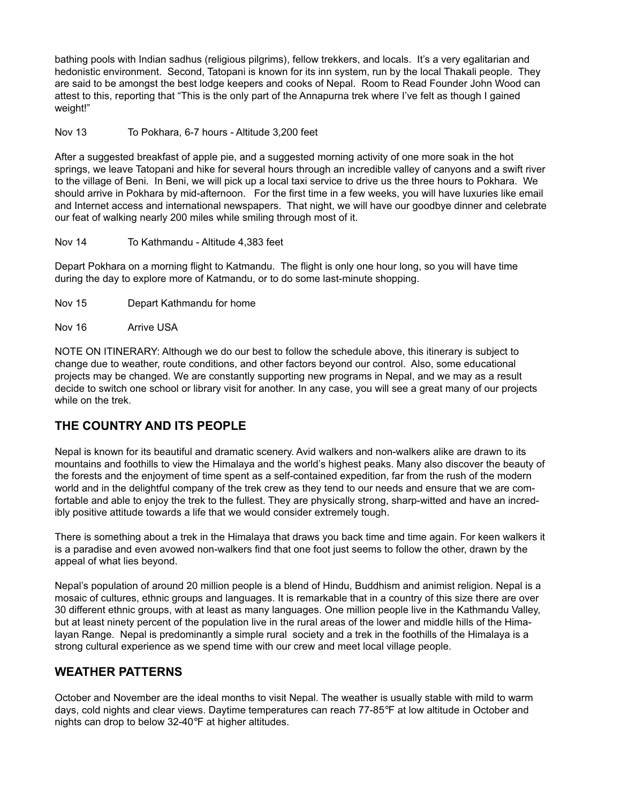bathing pools with Indian sadhus (religious pilgrims), fellow trekkers, and locals. It's a very egalitarian and hedonistic environment. Second, Tatopani is known for its inn system, run by the local Thakali people. They are said to be amongst the best lodge keepers and cooks of Nepal. Room to Read Founder John Wood can attest to this, reporting that "This is the only part of the Annapurna trek where I've felt as though I gained weight!"

Nov 13 To Pokhara, 6-7 hours - Altitude 3,200 feet

After a suggested breakfast of apple pie, and a suggested morning activity of one more soak in the hot springs, we leave Tatopani and hike for several hours through an incredible valley of canyons and a swift river to the village of Beni. In Beni, we will pick up a local taxi service to drive us the three hours to Pokhara. We should arrive in Pokhara by mid-afternoon. For the first time in a few weeks, you will have luxuries like email and Internet access and international newspapers. That night, we will have our goodbye dinner and celebrate our feat of walking nearly 200 miles while smiling through most of it.

Nov 14 To Kathmandu - Altitude 4,383 feet

Depart Pokhara on a morning flight to Katmandu. The flight is only one hour long, so you will have time during the day to explore more of Katmandu, or to do some last-minute shopping.

Nov 15 Depart Kathmandu for home

Nov 16 Arrive USA

NOTE ON ITINERARY: Although we do our best to follow the schedule above, this itinerary is subject to change due to weather, route conditions, and other factors beyond our control. Also, some educational projects may be changed. We are constantly supporting new programs in Nepal, and we may as a result decide to switch one school or library visit for another. In any case, you will see a great many of our projects while on the trek.

### **THE COUNTRY AND ITS PEOPLE**

Nepal is known for its beautiful and dramatic scenery. Avid walkers and non-walkers alike are drawn to its mountains and foothills to view the Himalaya and the world's highest peaks. Many also discover the beauty of the forests and the enjoyment of time spent as a self-contained expedition, far from the rush of the modern world and in the delightful company of the trek crew as they tend to our needs and ensure that we are comfortable and able to enjoy the trek to the fullest. They are physically strong, sharp-witted and have an incredibly positive attitude towards a life that we would consider extremely tough.

There is something about a trek in the Himalaya that draws you back time and time again. For keen walkers it is a paradise and even avowed non-walkers find that one foot just seems to follow the other, drawn by the appeal of what lies beyond.

Nepal's population of around 20 million people is a blend of Hindu, Buddhism and animist religion. Nepal is a mosaic of cultures, ethnic groups and languages. It is remarkable that in a country of this size there are over 30 different ethnic groups, with at least as many languages. One million people live in the Kathmandu Valley, but at least ninety percent of the population live in the rural areas of the lower and middle hills of the Himalayan Range. Nepal is predominantly a simple rural society and a trek in the foothills of the Himalaya is a strong cultural experience as we spend time with our crew and meet local village people.

### **WEATHER PATTERNS**

October and November are the ideal months to visit Nepal. The weather is usually stable with mild to warm days, cold nights and clear views. Daytime temperatures can reach 77-85°F at low altitude in October and nights can drop to below 32-40°F at higher altitudes.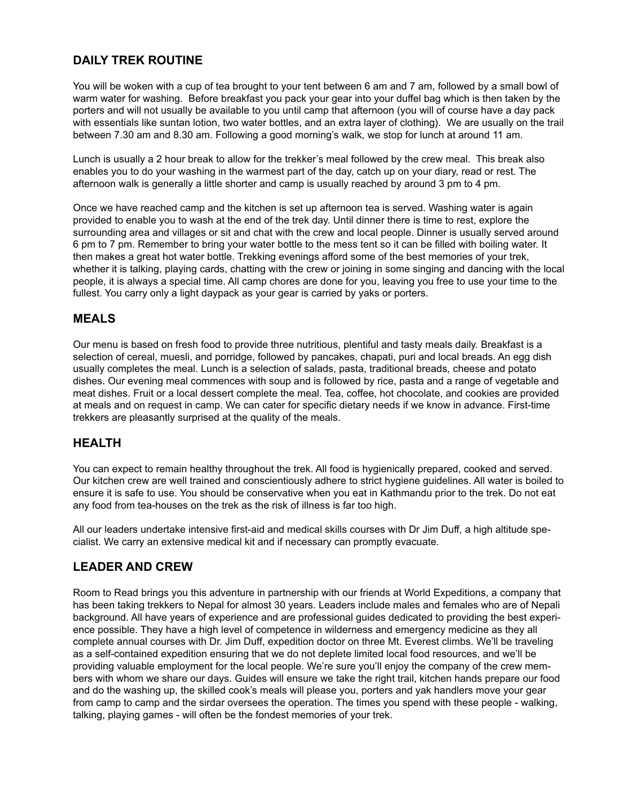# **DAILY TREK ROUTINE**

You will be woken with a cup of tea brought to your tent between 6 am and 7 am, followed by a small bowl of warm water for washing. Before breakfast you pack your gear into your duffel bag which is then taken by the porters and will not usually be available to you until camp that afternoon (you will of course have a day pack with essentials like suntan lotion, two water bottles, and an extra layer of clothing). We are usually on the trail between 7.30 am and 8.30 am. Following a good morning's walk, we stop for lunch at around 11 am.

Lunch is usually a 2 hour break to allow for the trekker's meal followed by the crew meal. This break also enables you to do your washing in the warmest part of the day, catch up on your diary, read or rest. The afternoon walk is generally a little shorter and camp is usually reached by around 3 pm to 4 pm.

Once we have reached camp and the kitchen is set up afternoon tea is served. Washing water is again provided to enable you to wash at the end of the trek day. Until dinner there is time to rest, explore the surrounding area and villages or sit and chat with the crew and local people. Dinner is usually served around 6 pm to 7 pm. Remember to bring your water bottle to the mess tent so it can be filled with boiling water. It then makes a great hot water bottle. Trekking evenings afford some of the best memories of your trek, whether it is talking, playing cards, chatting with the crew or joining in some singing and dancing with the local people, it is always a special time. All camp chores are done for you, leaving you free to use your time to the fullest. You carry only a light daypack as your gear is carried by yaks or porters.

# **MEALS**

Our menu is based on fresh food to provide three nutritious, plentiful and tasty meals daily. Breakfast is a selection of cereal, muesli, and porridge, followed by pancakes, chapati, puri and local breads. An egg dish usually completes the meal. Lunch is a selection of salads, pasta, traditional breads, cheese and potato dishes. Our evening meal commences with soup and is followed by rice, pasta and a range of vegetable and meat dishes. Fruit or a local dessert complete the meal. Tea, coffee, hot chocolate, and cookies are provided at meals and on request in camp. We can cater for specific dietary needs if we know in advance. First-time trekkers are pleasantly surprised at the quality of the meals.

### **HEALTH**

You can expect to remain healthy throughout the trek. All food is hygienically prepared, cooked and served. Our kitchen crew are well trained and conscientiously adhere to strict hygiene guidelines. All water is boiled to ensure it is safe to use. You should be conservative when you eat in Kathmandu prior to the trek. Do not eat any food from tea-houses on the trek as the risk of illness is far too high.

All our leaders undertake intensive first-aid and medical skills courses with Dr Jim Duff, a high altitude specialist. We carry an extensive medical kit and if necessary can promptly evacuate.

# **LEADER AND CREW**

Room to Read brings you this adventure in partnership with our friends at World Expeditions, a company that has been taking trekkers to Nepal for almost 30 years. Leaders include males and females who are of Nepali background. All have years of experience and are professional guides dedicated to providing the best experience possible. They have a high level of competence in wilderness and emergency medicine as they all complete annual courses with Dr. Jim Duff, expedition doctor on three Mt. Everest climbs. We'll be traveling as a self-contained expedition ensuring that we do not deplete limited local food resources, and we'll be providing valuable employment for the local people. We're sure you'll enjoy the company of the crew members with whom we share our days. Guides will ensure we take the right trail, kitchen hands prepare our food and do the washing up, the skilled cook's meals will please you, porters and yak handlers move your gear from camp to camp and the sirdar oversees the operation. The times you spend with these people - walking, talking, playing games - will often be the fondest memories of your trek.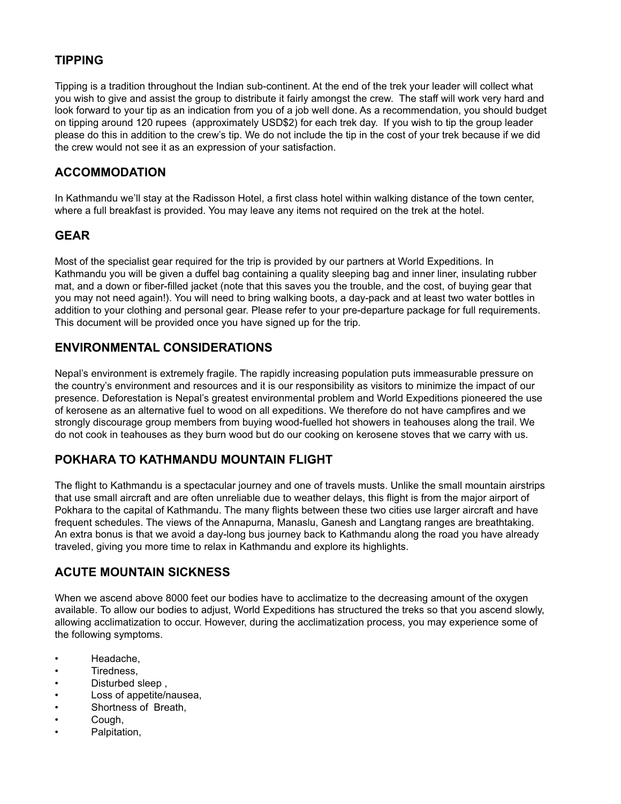# **TIPPING**

Tipping is a tradition throughout the Indian sub-continent. At the end of the trek your leader will collect what you wish to give and assist the group to distribute it fairly amongst the crew. The staff will work very hard and look forward to your tip as an indication from you of a job well done. As a recommendation, you should budget on tipping around 120 rupees (approximately USD\$2) for each trek day. If you wish to tip the group leader please do this in addition to the crew's tip. We do not include the tip in the cost of your trek because if we did the crew would not see it as an expression of your satisfaction.

#### **ACCOMMODATION**

In Kathmandu we'll stay at the Radisson Hotel, a first class hotel within walking distance of the town center, where a full breakfast is provided. You may leave any items not required on the trek at the hotel.

#### **GEAR**

Most of the specialist gear required for the trip is provided by our partners at World Expeditions. In Kathmandu you will be given a duffel bag containing a quality sleeping bag and inner liner, insulating rubber mat, and a down or fiber-filled jacket (note that this saves you the trouble, and the cost, of buying gear that you may not need again!). You will need to bring walking boots, a day-pack and at least two water bottles in addition to your clothing and personal gear. Please refer to your pre-departure package for full requirements. This document will be provided once you have signed up for the trip.

# **ENVIRONMENTAL CONSIDERATIONS**

Nepal's environment is extremely fragile. The rapidly increasing population puts immeasurable pressure on the country's environment and resources and it is our responsibility as visitors to minimize the impact of our presence. Deforestation is Nepal's greatest environmental problem and World Expeditions pioneered the use of kerosene as an alternative fuel to wood on all expeditions. We therefore do not have campfires and we strongly discourage group members from buying wood-fuelled hot showers in teahouses along the trail. We do not cook in teahouses as they burn wood but do our cooking on kerosene stoves that we carry with us.

# **POKHARA TO KATHMANDU MOUNTAIN FLIGHT**

The flight to Kathmandu is a spectacular journey and one of travels musts. Unlike the small mountain airstrips that use small aircraft and are often unreliable due to weather delays, this flight is from the major airport of Pokhara to the capital of Kathmandu. The many flights between these two cities use larger aircraft and have frequent schedules. The views of the Annapurna, Manaslu, Ganesh and Langtang ranges are breathtaking. An extra bonus is that we avoid a day-long bus journey back to Kathmandu along the road you have already traveled, giving you more time to relax in Kathmandu and explore its highlights.

### **ACUTE MOUNTAIN SICKNESS**

When we ascend above 8000 feet our bodies have to acclimatize to the decreasing amount of the oxygen available. To allow our bodies to adjust, World Expeditions has structured the treks so that you ascend slowly, allowing acclimatization to occur. However, during the acclimatization process, you may experience some of the following symptoms.

- Headache,
- Tiredness,
- Disturbed sleep ,
- Loss of appetite/nausea,
- Shortness of Breath,
- Cough,
- Palpitation,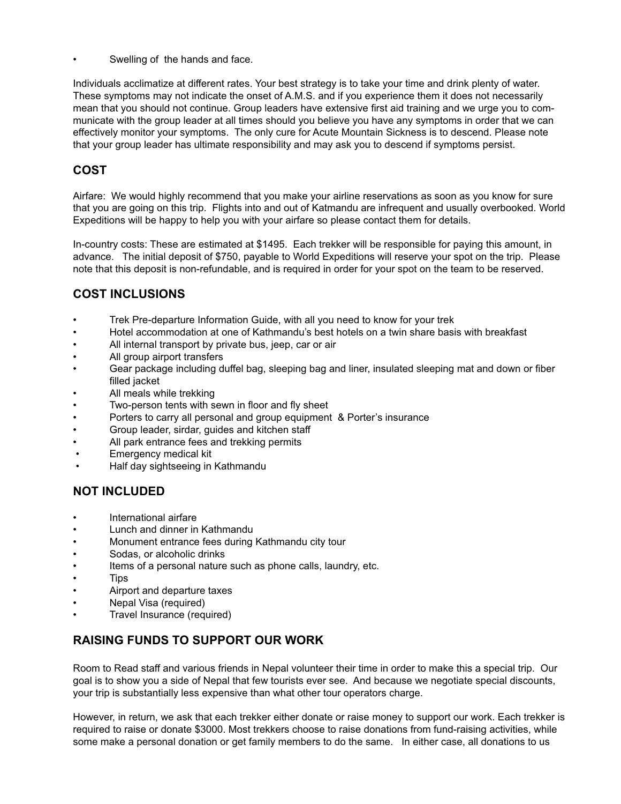Swelling of the hands and face.

Individuals acclimatize at different rates. Your best strategy is to take your time and drink plenty of water. These symptoms may not indicate the onset of A.M.S. and if you experience them it does not necessarily mean that you should not continue. Group leaders have extensive first aid training and we urge you to communicate with the group leader at all times should you believe you have any symptoms in order that we can effectively monitor your symptoms. The only cure for Acute Mountain Sickness is to descend. Please note that your group leader has ultimate responsibility and may ask you to descend if symptoms persist.

# **COST**

Airfare: We would highly recommend that you make your airline reservations as soon as you know for sure that you are going on this trip. Flights into and out of Katmandu are infrequent and usually overbooked. World Expeditions will be happy to help you with your airfare so please contact them for details.

In-country costs: These are estimated at \$1495. Each trekker will be responsible for paying this amount, in advance. The initial deposit of \$750, payable to World Expeditions will reserve your spot on the trip. Please note that this deposit is non-refundable, and is required in order for your spot on the team to be reserved.

# **COST INCLUSIONS**

- Trek Pre-departure Information Guide, with all you need to know for your trek
- Hotel accommodation at one of Kathmandu's best hotels on a twin share basis with breakfast
- All internal transport by private bus, jeep, car or air
- All group airport transfers
- Gear package including duffel bag, sleeping bag and liner, insulated sleeping mat and down or fiber filled jacket
- All meals while trekking
- Two-person tents with sewn in floor and fly sheet
- Porters to carry all personal and group equipment & Porter's insurance
- Group leader, sirdar, guides and kitchen staff
- All park entrance fees and trekking permits
- Emergency medical kit
- Half day sightseeing in Kathmandu

### **NOT INCLUDED**

- International airfare
- Lunch and dinner in Kathmandu
- Monument entrance fees during Kathmandu city tour
- Sodas, or alcoholic drinks
- Items of a personal nature such as phone calls, laundry, etc.
- T ips
- Airport and departure taxes
- Nepal Visa (required)
- Travel Insurance (required)

### **RAISING FUNDS TO SUPPORT OUR WORK**

Room to Read staff and various friends in Nepal volunteer their time in order to make this a special trip. Our goal is to show you a side of Nepal that few tourists ever see. And because we negotiate special discounts, your trip is substantially less expensive than what other tour operators charge.

However, in return, we ask that each trekker either donate or raise money to support our work. Each trekker is required to raise or donate \$3000. Most trekkers choose to raise donations from fund-raising activities, while some make a personal donation or get family members to do the same. In either case, all donations to us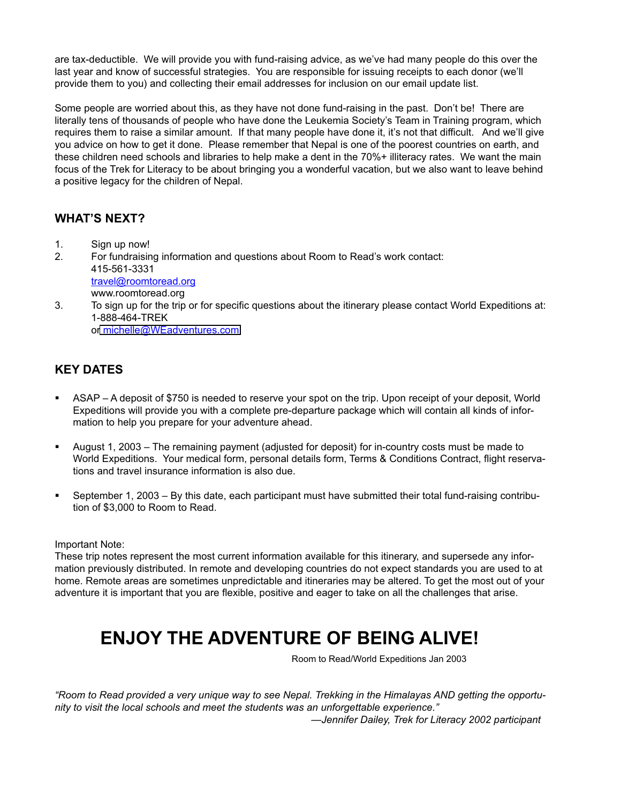are tax-deductible. We will provide you with fund-raising advice, as we've had many people do this over the last year and know of successful strategies. You are responsible for issuing receipts to each donor (we'll provide them to you) and collecting their email addresses for inclusion on our email update list.

Some people are worried about this, as they have not done fund-raising in the past. Don't be! There are literally tens of thousands of people who have done the Leukemia Society's Team in Training program, which requires them to raise a similar amount. If that many people have done it, it's not that difficult. And we'll give you advice on how to get it done. Please remember that Nepal is one of the poorest countries on earth, and these children need schools and libraries to help make a dent in the 70%+ illiteracy rates. We want the main focus of the Trek for Literacy to be about bringing you a wonderful vacation, but we also want to leave behind a positive legacy for the children of Nepal.

### **WHAT'S NEXT?**

- 1. Sign up now!
- 2. For fundraising information and questions about Room to Read's work contact: 415-561-3331 travel@roomtoread.org www.roomtoread.org
- 3. To sign up for the trip or for specific questions about the itinerary please contact World Expeditions at: 1-888-464-TREK o[r michelle@WEadventures.com](mailto:michele@WEadventures.com)

# **KEY DATES**

- ASAP A deposit of \$750 is needed to reserve your spot on the trip. Upon receipt of your deposit, World Expeditions will provide you with a complete pre-departure package which will contain all kinds of information to help you prepare for your adventure ahead.
- August 1, 2003 The remaining payment (adjusted for deposit) for in-country costs must be made to World Expeditions. Your medical form, personal details form, Terms & Conditions Contract, flight reservations and travel insurance information is also due.
- September 1, 2003 By this date, each participant must have submitted their total fund-raising contribution of \$3,000 to Room to Read.

#### Important Note:

These trip notes represent the most current information available for this itinerary, and supersede any information previously distributed. In remote and developing countries do not expect standards you are used to at home. Remote areas are sometimes unpredictable and itineraries may be altered. To get the most out of your adventure it is important that you are flexible, positive and eager to take on all the challenges that arise.

# **ENJOY THE ADVENTURE OF BEING ALIVE!**

Room to Read/World Expeditions Jan 2003

*"Room to Read provided a very unique way to see Nepal. Trekking in the Himalayas AND getting the opportunity to visit the local schools and meet the students was an unforgettable experience."*

 *—Jennifer Dailey, Trek for Literacy 2002 participant*